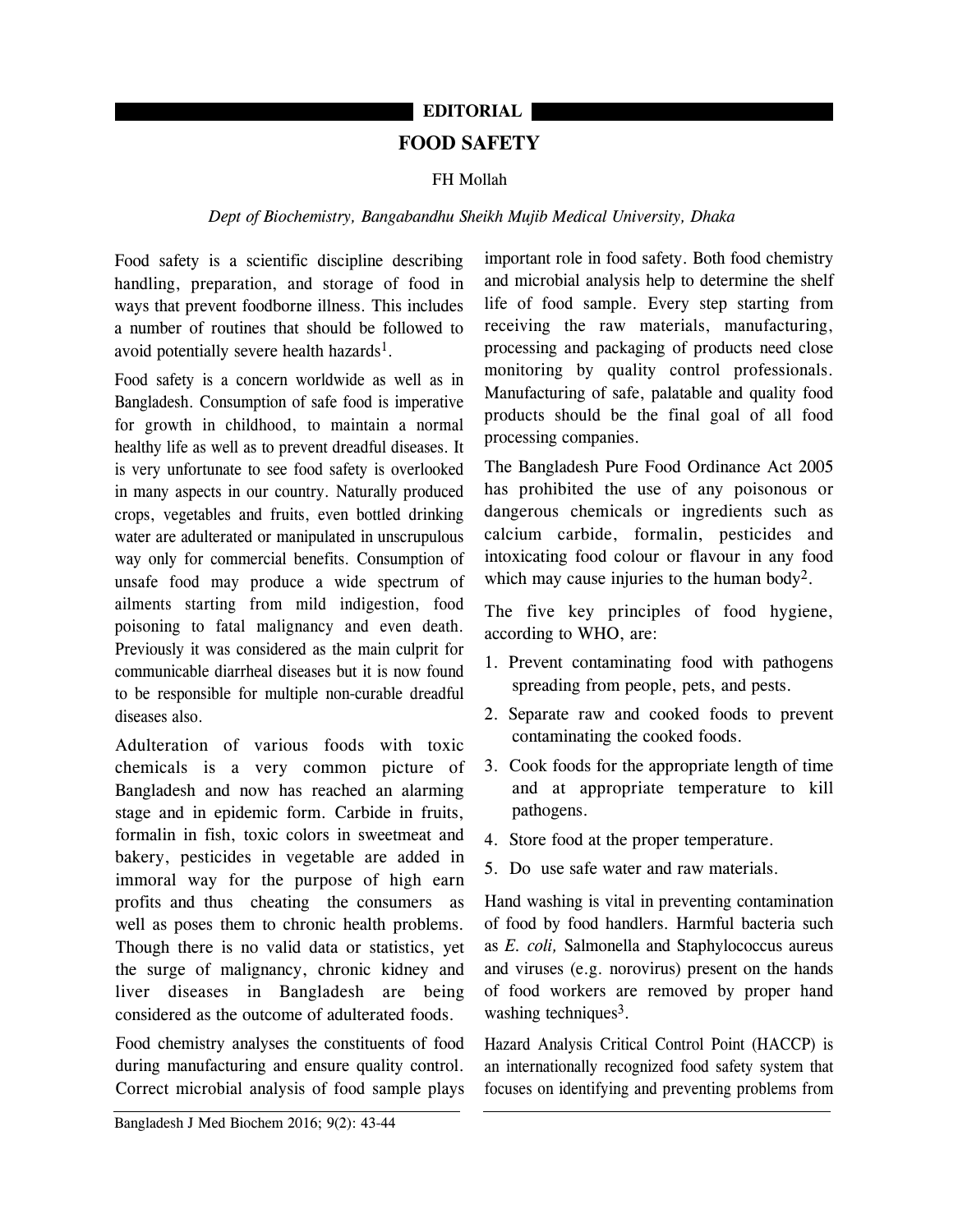# **FOOD SAFETY EDITORIAL**

## FH Mollah

## *Dept of Biochemistry, Bangabandhu Sheikh Mujib Medical University, Dhaka*

Food safety is a scientific discipline describing handling, preparation, and storage of food in ways that prevent foodborne illness. This includes a number of routines that should be followed to avoid potentially severe health hazards<sup>1</sup>.

Food safety is a concern worldwide as well as in Bangladesh. Consumption of safe food is imperative for growth in childhood, to maintain a normal healthy life as well as to prevent dreadful diseases. It is very unfortunate to see food safety is overlooked in many aspects in our country. Naturally produced crops, vegetables and fruits, even bottled drinking water are adulterated or manipulated in unscrupulous way only for commercial benefits. Consumption of unsafe food may produce a wide spectrum of ailments starting from mild indigestion, food poisoning to fatal malignancy and even death. Previously it was considered as the main culprit for communicable diarrheal diseases but it is now found to be responsible for multiple non-curable dreadful diseases also.

Adulteration of various foods with toxic chemicals is a very common picture of Bangladesh and now has reached an alarming stage and in epidemic form. Carbide in fruits, formalin in fish, toxic colors in sweetmeat and bakery, pesticides in vegetable are added in immoral way for the purpose of high earn profits and thus cheating the consumers as well as poses them to chronic health problems. Though there is no valid data or statistics, yet the surge of malignancy, chronic kidney and liver diseases in Bangladesh are being considered as the outcome of adulterated foods.

Food chemistry analyses the constituents of food during manufacturing and ensure quality control. Correct microbial analysis of food sample plays

important role in food safety. Both food chemistry and microbial analysis help to determine the shelf life of food sample. Every step starting from receiving the raw materials, manufacturing, processing and packaging of products need close monitoring by quality control professionals. Manufacturing of safe, palatable and quality food products should be the final goal of all food processing companies.

The Bangladesh Pure Food Ordinance Act 2005 has prohibited the use of any poisonous or dangerous chemicals or ingredients such as calcium carbide, formalin, pesticides and intoxicating food colour or flavour in any food which may cause injuries to the human body<sup>2</sup>.

The five key principles of food hygiene, according to WHO, are:

- 1. Prevent contaminating food with pathogens spreading from people, pets, and pests.
- 2. Separate raw and cooked foods to prevent contaminating the cooked foods.
- 3. Cook foods for the appropriate length of time and at appropriate temperature to kill pathogens.
- 4. Store food at the proper temperature.
- 5. Do use safe water and raw materials.

Hand washing is vital in preventing contamination of food by food handlers. Harmful bacteria such as *E. coli,* Salmonella and Staphylococcus aureus and viruses (e.g. norovirus) present on the hands of food workers are removed by proper hand washing techniques<sup>3</sup>.

Hazard Analysis Critical Control Point (HACCP) is an internationally recognized food safety system that focuses on identifying and preventing problems from